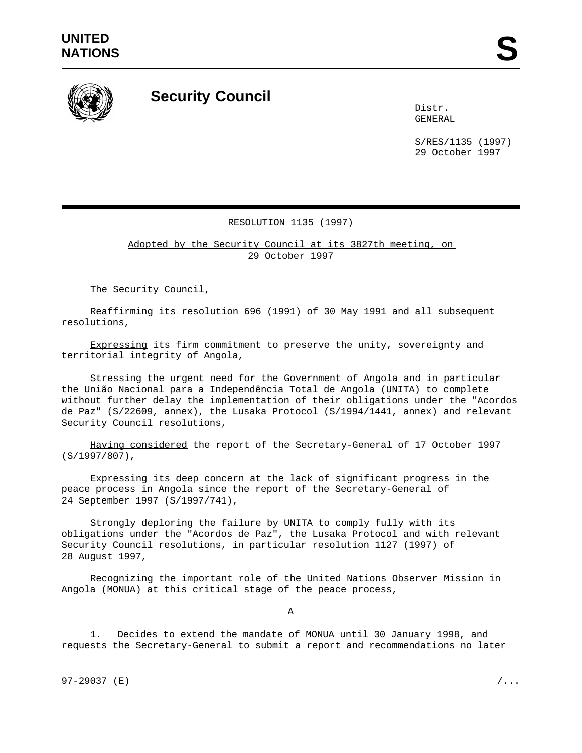

## **Security Council**

Distr. GENERAL

S/RES/1135 (1997) 29 October 1997

## RESOLUTION 1135 (1997)

Adopted by the Security Council at its 3827th meeting, on 29 October 1997

The Security Council,

Reaffirming its resolution 696 (1991) of 30 May 1991 and all subsequent resolutions,

Expressing its firm commitment to preserve the unity, sovereignty and territorial integrity of Angola,

Stressing the urgent need for the Government of Angola and in particular the União Nacional para a Independência Total de Angola (UNITA) to complete without further delay the implementation of their obligations under the "Acordos de Paz" (S/22609, annex), the Lusaka Protocol (S/1994/1441, annex) and relevant Security Council resolutions,

Having considered the report of the Secretary-General of 17 October 1997 (S/1997/807),

Expressing its deep concern at the lack of significant progress in the peace process in Angola since the report of the Secretary-General of 24 September 1997 (S/1997/741),

Strongly deploring the failure by UNITA to comply fully with its obligations under the "Acordos de Paz", the Lusaka Protocol and with relevant Security Council resolutions, in particular resolution 1127 (1997) of 28 August 1997,

Recognizing the important role of the United Nations Observer Mission in Angola (MONUA) at this critical stage of the peace process,

A

1. Decides to extend the mandate of MONUA until 30 January 1998, and requests the Secretary-General to submit a report and recommendations no later

97-29037 (E)  $/$ ...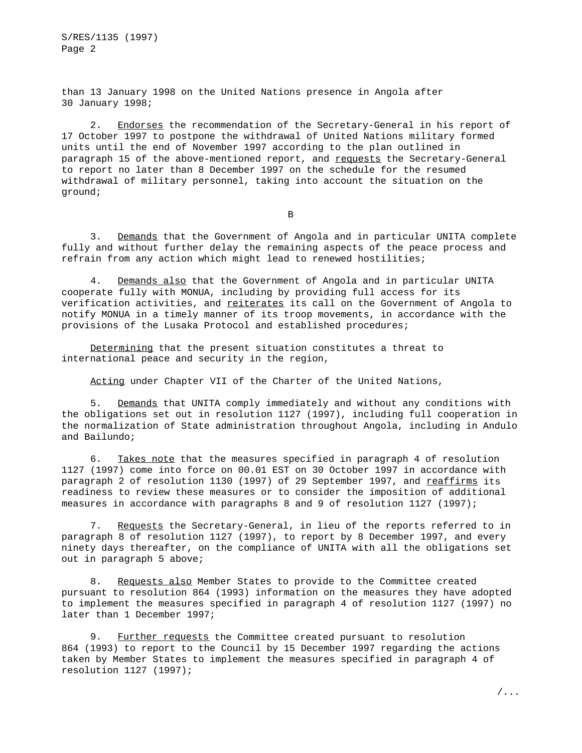S/RES/1135 (1997) Page 2

than 13 January 1998 on the United Nations presence in Angola after 30 January 1998;

2. Endorses the recommendation of the Secretary-General in his report of 17 October 1997 to postpone the withdrawal of United Nations military formed units until the end of November 1997 according to the plan outlined in paragraph 15 of the above-mentioned report, and requests the Secretary-General to report no later than 8 December 1997 on the schedule for the resumed withdrawal of military personnel, taking into account the situation on the ground;

B

3. Demands that the Government of Angola and in particular UNITA complete fully and without further delay the remaining aspects of the peace process and refrain from any action which might lead to renewed hostilities;

4. Demands also that the Government of Angola and in particular UNITA cooperate fully with MONUA, including by providing full access for its verification activities, and reiterates its call on the Government of Angola to notify MONUA in a timely manner of its troop movements, in accordance with the provisions of the Lusaka Protocol and established procedures;

Determining that the present situation constitutes a threat to international peace and security in the region,

Acting under Chapter VII of the Charter of the United Nations,

5. Demands that UNITA comply immediately and without any conditions with the obligations set out in resolution 1127 (1997), including full cooperation in the normalization of State administration throughout Angola, including in Andulo and Bailundo;

6. Takes note that the measures specified in paragraph 4 of resolution 1127 (1997) come into force on 00.01 EST on 30 October 1997 in accordance with paragraph 2 of resolution 1130 (1997) of 29 September 1997, and reaffirms its readiness to review these measures or to consider the imposition of additional measures in accordance with paragraphs 8 and 9 of resolution 1127 (1997);

7. Requests the Secretary-General, in lieu of the reports referred to in paragraph 8 of resolution 1127 (1997), to report by 8 December 1997, and every ninety days thereafter, on the compliance of UNITA with all the obligations set out in paragraph 5 above;

8. Requests also Member States to provide to the Committee created pursuant to resolution 864 (1993) information on the measures they have adopted to implement the measures specified in paragraph 4 of resolution 1127 (1997) no later than 1 December 1997;

9. Further requests the Committee created pursuant to resolution 864 (1993) to report to the Council by 15 December 1997 regarding the actions taken by Member States to implement the measures specified in paragraph 4 of resolution 1127 (1997);